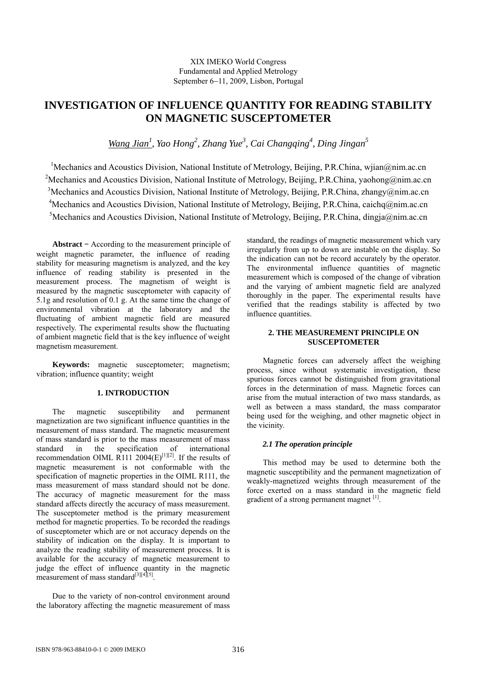XIX IMEKO World Congress Fundamental and Applied Metrology September 6−11, 2009, Lisbon, Portugal

# **INVESTIGATION OF INFLUENCE QUANTITY FOR READING STABILITY ON MAGNETIC SUSCEPTOMETER**

*Wang Jian1 , Yao Hong2 , Zhang Yue<sup>3</sup> , Cai Changqing4 , Ding Jingan5* 

<sup>1</sup>Mechanics and Acoustics Division, National Institute of Metrology, Beijing, P.R.China, wjian@nim.ac.cn <sup>2</sup>Mechanics and Acoustics Division, National Institute of Metrology, Beijing, P.R.China, yaohong@nim.ac.cn <sup>3</sup>Mechanics and Acoustics Division, National Institute of Metrology, Beijing, P.R.China, zhangy@nim.ac.cn <sup>4</sup>Mechanics and Acoustics Division, National Institute of Metrology, Beijing, P.R.China, caichq@nim.ac.cn <sup>5</sup>Mechanics and Acoustics Division, National Institute of Metrology, Beijing, P.R.China, dingja@nim.ac.cn

Abstract – According to the measurement principle of weight magnetic parameter, the influence of reading stability for measuring magnetism is analyzed, and the key influence of reading stability is presented in the measurement process. The magnetism of weight is measured by the magnetic susceptometer with capacity of 5.1g and resolution of 0.1 g. At the same time the change of environmental vibration at the laboratory and the fluctuating of ambient magnetic field are measured respectively. The experimental results show the fluctuating of ambient magnetic field that is the key influence of weight magnetism measurement.

**Keywords:** magnetic susceptometer; magnetism; vibration; influence quantity; weight

## **1. INTRODUCTION**

The magnetic susceptibility and permanent magnetization are two significant influence quantities in the measurement of mass standard. The magnetic measurement of mass standard is prior to the mass measurement of mass standard in the specification of international recommendation OIML R111 2004(E)<sup>[1][2]</sup>. If the results of magnetic measurement is not conformable with the specification of magnetic properties in the OIML R111, the mass measurement of mass standard should not be done. The accuracy of magnetic measurement for the mass standard affects directly the accuracy of mass measurement. The susceptometer method is the primary measurement method for magnetic properties. To be recorded the readings of susceptometer which are or not accuracy depends on the stability of indication on the display. It is important to analyze the reading stability of measurement process. It is available for the accuracy of magnetic measurement to judge the effect of influence quantity in the magnetic measurement of mass standard $^{[3][4][5]}$ .

Due to the variety of non-control environment around the laboratory affecting the magnetic measurement of mass standard, the readings of magnetic measurement which vary irregularly from up to down are instable on the display. So the indication can not be record accurately by the operator. The environmental influence quantities of magnetic measurement which is composed of the change of vibration and the varying of ambient magnetic field are analyzed thoroughly in the paper. The experimental results have verified that the readings stability is affected by two influence quantities.

## **2. THE MEASUREMENT PRINCIPLE ON SUSCEPTOMETER**

Magnetic forces can adversely affect the weighing process, since without systematic investigation, these spurious forces cannot be distinguished from gravitational forces in the determination of mass. Magnetic forces can arise from the mutual interaction of two mass standards, as well as between a mass standard, the mass comparator being used for the weighing, and other magnetic object in the vicinity.

## *2.1 The operation principle*

This method may be used to determine both the magnetic susceptibility and the permanent magnetization of weakly-magnetized weights through measurement of the force exerted on a mass standard in the magnetic field gradient of a strong permanent magnet [1].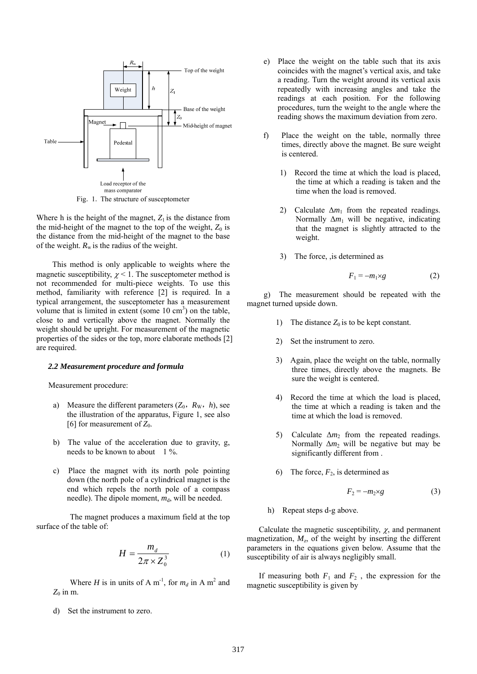

Fig. 1. The structure of susceptometer

Where h is the height of the magnet,  $Z_1$  is the distance from the mid-height of the magnet to the top of the weight,  $Z_0$  is the distance from the mid-height of the magnet to the base of the weight.  $R_w$  is the radius of the weight.

This method is only applicable to weights where the magnetic susceptibility,  $\chi$  < 1. The susceptometer method is not recommended for multi-piece weights. To use this method, familiarity with reference [2] is required. In a typical arrangement, the susceptometer has a measurement volume that is limited in extent (some  $10 \text{ cm}^3$ ) on the table, close to and vertically above the magnet. Normally the weight should be upright. For measurement of the magnetic properties of the sides or the top, more elaborate methods [2] are required.

#### *2.2 Measurement procedure and formula*

Measurement procedure:

- a) Measure the different parameters  $(Z_0, R_W, h)$ , see the illustration of the apparatus, Figure 1, see also [6] for measurement of  $Z_0$ .
- b) The value of the acceleration due to gravity, g, needs to be known to about 1 %.
- c) Place the magnet with its north pole pointing down (the north pole of a cylindrical magnet is the end which repels the north pole of a compass needle). The dipole moment,  $m_d$ , will be needed.

 The magnet produces a maximum field at the top surface of the table of:

$$
H = \frac{m_d}{2\pi \times Z_0^3}
$$
 (1)

Where *H* is in units of A m<sup>-1</sup>, for  $m_d$  in A m<sup>2</sup> and  $Z_0$  in m.

d) Set the instrument to zero.

- e) Place the weight on the table such that its axis coincides with the magnet's vertical axis, and take a reading. Turn the weight around its vertical axis repeatedly with increasing angles and take the readings at each position. For the following procedures, turn the weight to the angle where the reading shows the maximum deviation from zero.
- f) Place the weight on the table, normally three times, directly above the magnet. Be sure weight is centered.
	- 1) Record the time at which the load is placed, the time at which a reading is taken and the time when the load is removed.
	- 2) Calculate  $\Delta m_1$  from the repeated readings. Normally  $\Delta m_1$  will be negative, indicating that the magnet is slightly attracted to the weight.
	- 3) The force, ,is determined as

$$
F_1 = -m_1 \times g \tag{2}
$$

g) The measurement should be repeated with the magnet turned upside down.

- 1) The distance  $Z_0$  is to be kept constant.
- 2) Set the instrument to zero.
- 3) Again, place the weight on the table, normally three times, directly above the magnets. Be sure the weight is centered.
- 4) Record the time at which the load is placed, the time at which a reading is taken and the time at which the load is removed.
- 5) Calculate  $\Delta m_2$  from the repeated readings. Normally  $\Delta m_2$  will be negative but may be significantly different from .
- 6) The force,  $F_2$ , is determined as

$$
F_2 = -m_2 \times g \tag{3}
$$

h) Repeat steps d-g above.

Calculate the magnetic susceptibility,  $\chi$ , and permanent magnetization,  $M_{z}$ , of the weight by inserting the different parameters in the equations given below. Assume that the susceptibility of air is always negligibly small.

If measuring both  $F_1$  and  $F_2$ , the expression for the magnetic susceptibility is given by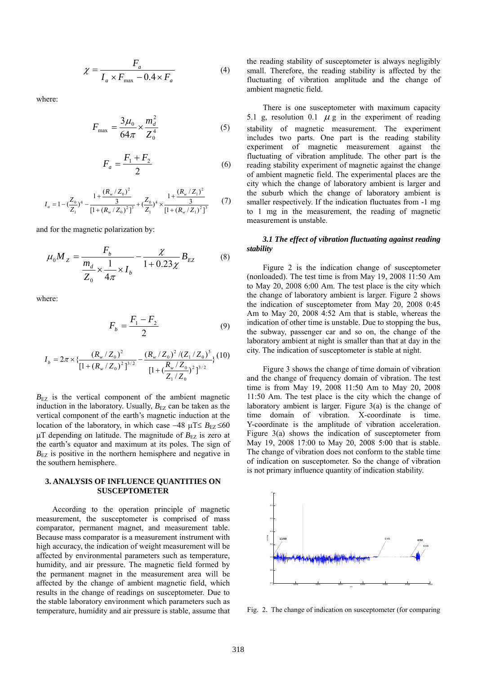$$
\chi = \frac{F_a}{I_a \times F_{\text{max}} - 0.4 \times F_a}
$$
(4)

where:

$$
F_{\text{max}} = \frac{3\mu_0}{64\pi} \times \frac{m_d^2}{Z_0^4}
$$
 (5)

$$
F_a = \frac{F_1 + F_2}{2}
$$
 (6)

$$
I_{a} = 1 - \left(\frac{Z_{0}}{Z_{1}}\right)^{4} - \frac{1 + \frac{(R_{w}/Z_{0})^{2}}{3}}{\left[1 + \left(R_{w}/Z_{0}\right)^{2}\right]^{3}} + \left(\frac{Z_{0}}{Z_{1}}\right)^{4} \times \frac{1 + \frac{(R_{w}/Z_{1})^{2}}{3}}{\left[1 + \left(R_{w}/Z_{1}\right)^{2}\right]^{3}}
$$
(7)

and for the magnetic polarization by:

$$
\mu_0 M_Z = \frac{F_b}{\frac{m_d}{Z_0} \times \frac{1}{4\pi} \times I_b} - \frac{\chi}{1 + 0.23\chi} B_{EZ}
$$
 (8)

where:

$$
F_b = \frac{F_1 - F_2}{2}
$$
 (9)

$$
I_b = 2\pi \times \left\{ \frac{(R_w/Z_0)^2}{\left[1 + (R_w/Z_0)^2\right]^{3/2}} - \frac{(R_w/Z_0)^2 / (Z_1/Z_0)^3}{\left[1 + \left(\frac{R_w/Z_0}{Z_1/Z_0}\right)^2\right]^{3/2}} \right\}
$$
(10)

 $B_{\text{EZ}}$  is the vertical component of the ambient magnetic induction in the laboratory. Usually,  $B_{\text{EZ}}$  can be taken as the vertical component of the earth's magnetic induction at the location of the laboratory, in which case  $-48 \mu$ T≤ *B*<sub>EZ</sub> ≤60  $\mu$ T depending on latitude. The magnitude of  $B_{EZ}$  is zero at the earth's equator and maximum at its poles. The sign of  $B_{\text{EZ}}$  is positive in the northern hemisphere and negative in the southern hemisphere.

## **3. ANALYSIS OF INFLUENCE QUANTITIES ON SUSCEPTOMETER**

According to the operation principle of magnetic measurement, the susceptometer is comprised of mass comparator, permanent magnet, and measurement table. Because mass comparator is a measurement instrument with high accuracy, the indication of weight measurement will be affected by environmental parameters such as temperature, humidity, and air pressure. The magnetic field formed by the permanent magnet in the measurement area will be affected by the change of ambient magnetic field, which results in the change of readings on susceptometer. Due to the stable laboratory environment which parameters such as temperature, humidity and air pressure is stable, assume that the reading stability of susceptometer is always negligibly small. Therefore, the reading stability is affected by the fluctuating of vibration amplitude and the change of ambient magnetic field.

There is one susceptometer with maximum capacity 5.1 g, resolution 0.1  $\mu$  g in the experiment of reading stability of magnetic measurement. The experiment includes two parts. One part is the reading stability experiment of magnetic measurement against the fluctuating of vibration amplitude. The other part is the reading stability experiment of magnetic against the change of ambient magnetic field. The experimental places are the city which the change of laboratory ambient is larger and the suburb which the change of laboratory ambient is smaller respectively. If the indication fluctuates from -1 mg to 1 mg in the measurement, the reading of magnetic measurement is unstable.

## *3.1 The effect of vibration fluctuating against reading stability*

Figure 2 is the indication change of susceptometer (nonloaded). The test time is from May 19, 2008 11:50 Am to May 20, 2008 6:00 Am. The test place is the city which the change of laboratory ambient is larger. Figure 2 shows the indication of susceptometer from May 20, 2008 0:45 Am to May 20, 2008 4:52 Am that is stable, whereas the indication of other time is unstable. Due to stopping the bus, the subway, passenger car and so on, the change of the laboratory ambient at night is smaller than that at day in the city. The indication of susceptometer is stable at night.

Figure 3 shows the change of time domain of vibration and the change of frequency domain of vibration. The test time is from May 19, 2008 11:50 Am to May 20, 2008 11:50 Am. The test place is the city which the change of laboratory ambient is larger. Figure 3(a) is the change of time domain of vibration. X-coordinate is time. Y-coordinate is the amplitude of vibration acceleration. Figure 3(a) shows the indication of susceptometer from May 19, 2008 17:00 to May 20, 2008 5:00 that is stable. The change of vibration does not conform to the stable time of indication on susceptometer. So the change of vibration is not primary influence quantity of indication stability.



Fig. 2. The change of indication on susceptometer (for comparing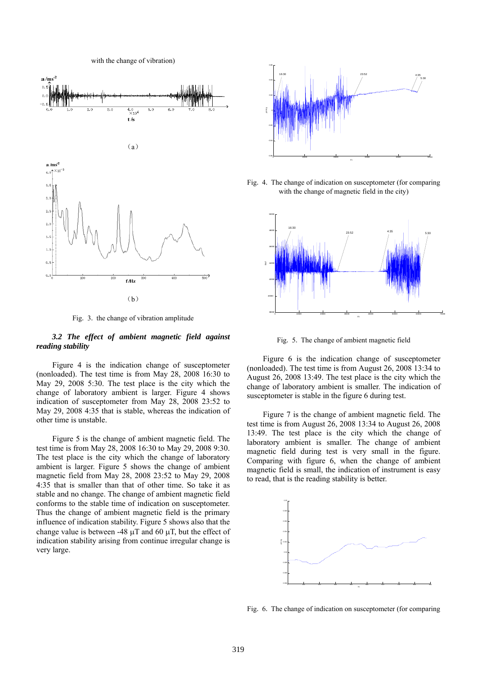with the change of vibration)



Fig. 3. the change of vibration amplitude

### *3.2 The effect of ambient magnetic field against reading stability*

Figure 4 is the indication change of susceptometer (nonloaded). The test time is from May 28, 2008 16:30 to May 29, 2008 5:30. The test place is the city which the change of laboratory ambient is larger. Figure 4 shows indication of susceptometer from May 28, 2008 23:52 to May 29, 2008 4:35 that is stable, whereas the indication of other time is unstable.

Figure 5 is the change of ambient magnetic field. The test time is from May 28, 2008 16:30 to May 29, 2008 9:30. The test place is the city which the change of laboratory ambient is larger. Figure 5 shows the change of ambient magnetic field from May 28, 2008 23:52 to May 29, 2008 4:35 that is smaller than that of other time. So take it as stable and no change. The change of ambient magnetic field conforms to the stable time of indication on susceptometer. Thus the change of ambient magnetic field is the primary influence of indication stability. Figure 5 shows also that the change value is between -48 μT and 60 μT, but the effect of indication stability arising from continue irregular change is very large.



Fig. 4. The change of indication on susceptometer (for comparing with the change of magnetic field in the city)



Fig. 5. The change of ambient magnetic field

Figure 6 is the indication change of susceptometer (nonloaded). The test time is from August 26, 2008 13:34 to August 26, 2008 13:49. The test place is the city which the change of laboratory ambient is smaller. The indication of susceptometer is stable in the figure 6 during test.

Figure 7 is the change of ambient magnetic field. The test time is from August 26, 2008 13:34 to August 26, 2008 13:49. The test place is the city which the change of laboratory ambient is smaller. The change of ambient magnetic field during test is very small in the figure. Comparing with figure 6, when the change of ambient magnetic field is small, the indication of instrument is easy to read, that is the reading stability is better.



Fig. 6. The change of indication on susceptometer (for comparing